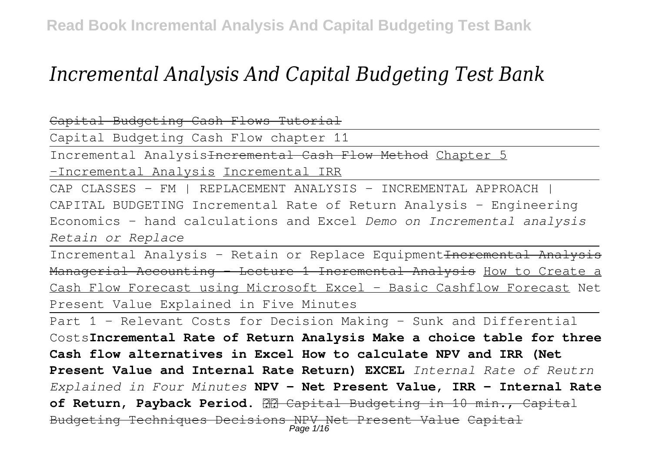# *Incremental Analysis And Capital Budgeting Test Bank*

Capital Budgeting Cash Flows Tutorial

Capital Budgeting Cash Flow chapter 11

Incremental AnalysisIncremental Cash Flow Method Chapter 5

-Incremental Analysis Incremental IRR

CAP CLASSES - FM | REPLACEMENT ANALYSIS - INCREMENTAL APPROACH CAPITAL BUDGETING Incremental Rate of Return Analysis - Engineering Economics - hand calculations and Excel *Demo on Incremental analysis Retain or Replace*

Incremental Analysis - Retain or Replace Equipment Incremental Analysis Managerial Accounting - Lecture 1 Incremental Analysis How to Create a Cash Flow Forecast using Microsoft Excel - Basic Cashflow Forecast Net Present Value Explained in Five Minutes

Part 1 - Relevant Costs for Decision Making - Sunk and Differential Costs**Incremental Rate of Return Analysis Make a choice table for three Cash flow alternatives in Excel How to calculate NPV and IRR (Net Present Value and Internal Rate Return) EXCEL** *Internal Rate of Reutrn Explained in Four Minutes* **NPV - Net Present Value, IRR - Internal Rate** of Return, Payback Period. **22** Capital Budgeting in 10 min., Capital Budgeting Techniques Decisions NPV Net Present Value Capital Page 1/16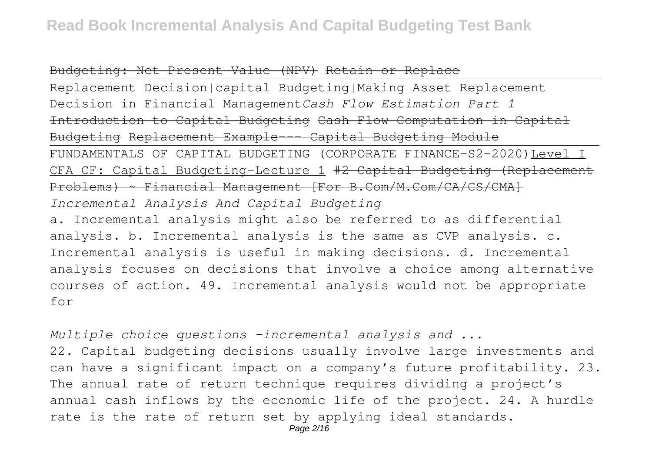#### Budgeting: Net Present Value (NPV) Retain or Replace

Replacement Decision|capital Budgeting|Making Asset Replacement Decision in Financial Management*Cash Flow Estimation Part 1* Introduction to Capital Budgeting Cash Flow Computation in Capital Budgeting Replacement Example--- Capital Budgeting Module FUNDAMENTALS OF CAPITAL BUDGETING (CORPORATE FINANCE-S2-2020)Level I CFA CF: Capital Budgeting-Lecture 1 #2 Capital Budgeting (Replacement Problems) ~ Financial Management [For B.Com/M.Com/CA/CS/CMA] *Incremental Analysis And Capital Budgeting* a. Incremental analysis might also be referred to as differential analysis. b. Incremental analysis is the same as CVP analysis. c. Incremental analysis is useful in making decisions. d. Incremental analysis focuses on decisions that involve a choice among alternative courses of action. 49. Incremental analysis would not be appropriate for

*Multiple choice questions -incremental analysis and ...* 22. Capital budgeting decisions usually involve large investments and can have a significant impact on a company's future profitability. 23. The annual rate of return technique requires dividing a project's annual cash inflows by the economic life of the project. 24. A hurdle rate is the rate of return set by applying ideal standards.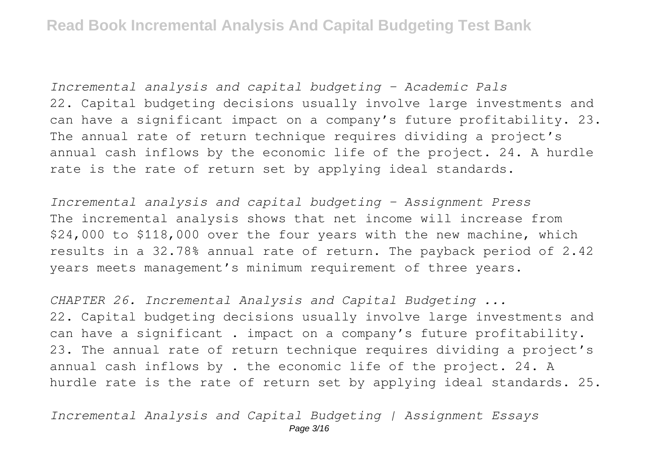*Incremental analysis and capital budgeting - Academic Pals* 22. Capital budgeting decisions usually involve large investments and can have a significant impact on a company's future profitability. 23. The annual rate of return technique requires dividing a project's annual cash inflows by the economic life of the project. 24. A hurdle rate is the rate of return set by applying ideal standards.

*Incremental analysis and capital budgeting - Assignment Press* The incremental analysis shows that net income will increase from \$24,000 to \$118,000 over the four years with the new machine, which results in a 32.78% annual rate of return. The payback period of 2.42 years meets management's minimum requirement of three years.

*CHAPTER 26. Incremental Analysis and Capital Budgeting ...* 22. Capital budgeting decisions usually involve large investments and can have a significant . impact on a company's future profitability. 23. The annual rate of return technique requires dividing a project's annual cash inflows by . the economic life of the project. 24. A hurdle rate is the rate of return set by applying ideal standards. 25.

*Incremental Analysis and Capital Budgeting | Assignment Essays*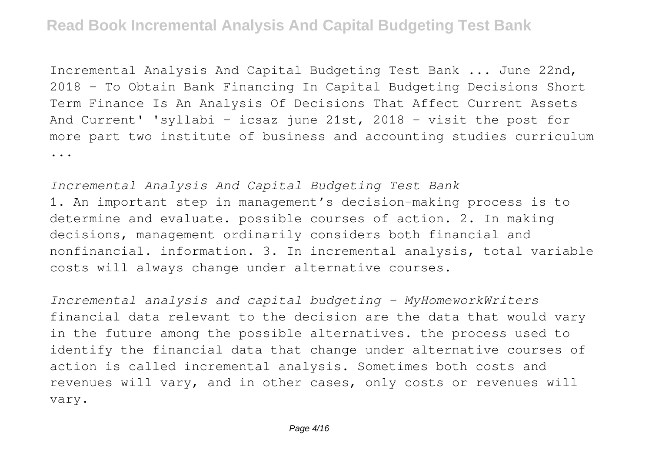Incremental Analysis And Capital Budgeting Test Bank ... June 22nd, 2018 - To Obtain Bank Financing In Capital Budgeting Decisions Short Term Finance Is An Analysis Of Decisions That Affect Current Assets And Current' 'syllabi – icsaz june 21st, 2018 - visit the post for more part two institute of business and accounting studies curriculum ...

*Incremental Analysis And Capital Budgeting Test Bank* 1. An important step in management's decision-making process is to determine and evaluate. possible courses of action. 2. In making decisions, management ordinarily considers both financial and nonfinancial. information. 3. In incremental analysis, total variable costs will always change under alternative courses.

*Incremental analysis and capital budgeting - MyHomeworkWriters* financial data relevant to the decision are the data that would vary in the future among the possible alternatives. the process used to identify the financial data that change under alternative courses of action is called incremental analysis. Sometimes both costs and revenues will vary, and in other cases, only costs or revenues will vary.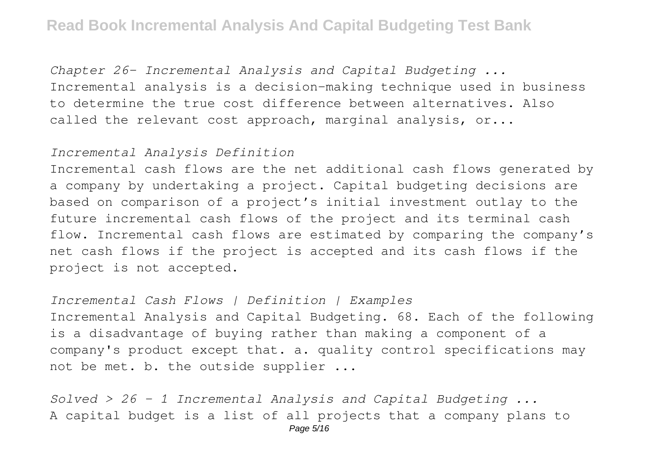*Chapter 26- Incremental Analysis and Capital Budgeting ...* Incremental analysis is a decision-making technique used in business to determine the true cost difference between alternatives. Also called the relevant cost approach, marginal analysis, or...

#### *Incremental Analysis Definition*

Incremental cash flows are the net additional cash flows generated by a company by undertaking a project. Capital budgeting decisions are based on comparison of a project's initial investment outlay to the future incremental cash flows of the project and its terminal cash flow. Incremental cash flows are estimated by comparing the company's net cash flows if the project is accepted and its cash flows if the project is not accepted.

*Incremental Cash Flows | Definition | Examples* Incremental Analysis and Capital Budgeting. 68. Each of the following is a disadvantage of buying rather than making a component of a company's product except that. a. quality control specifications may not be met. b. the outside supplier ...

*Solved > 26 - 1 Incremental Analysis and Capital Budgeting ...* A capital budget is a list of all projects that a company plans to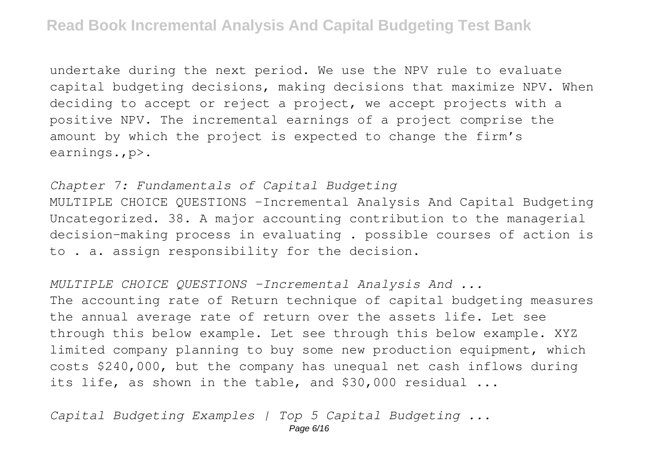undertake during the next period. We use the NPV rule to evaluate capital budgeting decisions, making decisions that maximize NPV. When deciding to accept or reject a project, we accept projects with a positive NPV. The incremental earnings of a project comprise the amount by which the project is expected to change the firm's earnings.,p>.

## *Chapter 7: Fundamentals of Capital Budgeting*

MULTIPLE CHOICE QUESTIONS -Incremental Analysis And Capital Budgeting Uncategorized. 38. A major accounting contribution to the managerial decision-making process in evaluating . possible courses of action is to . a. assign responsibility for the decision.

#### *MULTIPLE CHOICE QUESTIONS -Incremental Analysis And ...*

The accounting rate of Return technique of capital budgeting measures the annual average rate of return over the assets life. Let see through this below example. Let see through this below example. XYZ limited company planning to buy some new production equipment, which costs \$240,000, but the company has unequal net cash inflows during its life, as shown in the table, and \$30,000 residual ...

*Capital Budgeting Examples | Top 5 Capital Budgeting ...*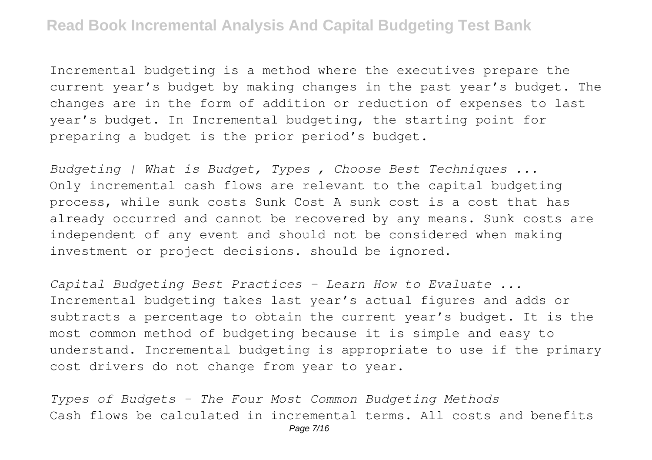Incremental budgeting is a method where the executives prepare the current year's budget by making changes in the past year's budget. The changes are in the form of addition or reduction of expenses to last year's budget. In Incremental budgeting, the starting point for preparing a budget is the prior period's budget.

*Budgeting | What is Budget, Types , Choose Best Techniques ...* Only incremental cash flows are relevant to the capital budgeting process, while sunk costs Sunk Cost A sunk cost is a cost that has already occurred and cannot be recovered by any means. Sunk costs are independent of any event and should not be considered when making investment or project decisions. should be ignored.

*Capital Budgeting Best Practices - Learn How to Evaluate ...* Incremental budgeting takes last year's actual figures and adds or subtracts a percentage to obtain the current year's budget. It is the most common method of budgeting because it is simple and easy to understand. Incremental budgeting is appropriate to use if the primary cost drivers do not change from year to year.

*Types of Budgets - The Four Most Common Budgeting Methods* Cash flows be calculated in incremental terms. All costs and benefits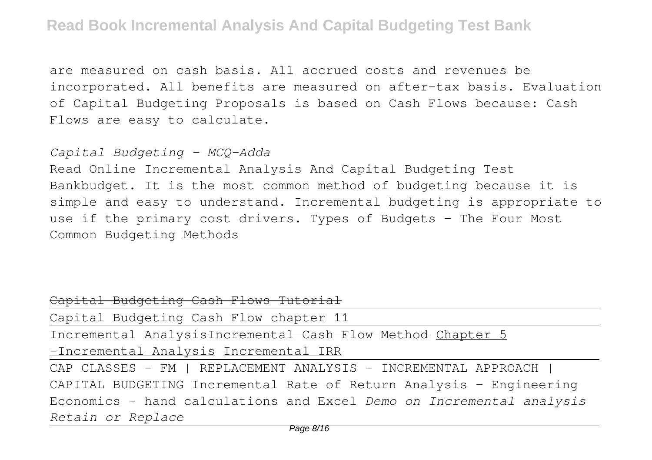are measured on cash basis. All accrued costs and revenues be incorporated. All benefits are measured on after-tax basis. Evaluation of Capital Budgeting Proposals is based on Cash Flows because: Cash Flows are easy to calculate.

# *Capital Budgeting - MCQ-Adda*

Read Online Incremental Analysis And Capital Budgeting Test Bankbudget. It is the most common method of budgeting because it is simple and easy to understand. Incremental budgeting is appropriate to use if the primary cost drivers. Types of Budgets - The Four Most Common Budgeting Methods

| Capital Budgeting Cash Flows Tutorial                                  |
|------------------------------------------------------------------------|
| Capital Budgeting Cash Flow chapter 11                                 |
| Incremental Analysis <del>Incremental Cash Flow Method</del> Chapter 5 |
| -Incremental Analysis Incremental IRR                                  |
| CAP CLASSES - FM   REPLACEMENT ANALYSIS - INCREMENTAL APPROACH         |
| CAPITAL BUDGETING Incremental Rate of Return Analysis - Engineering    |
| Economics - hand calculations and Excel Demo on Incremental analysis   |
| Retain or Replace                                                      |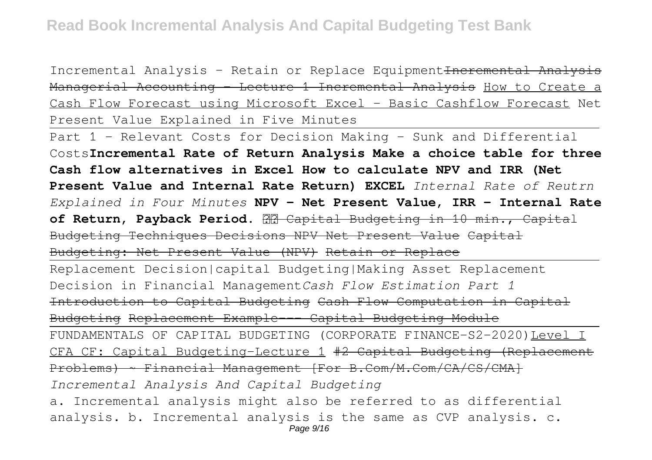Incremental Analysis - Retain or Replace Equipment Heremental Analysis Managerial Accounting - Lecture 1 Incremental Analysis How to Create a Cash Flow Forecast using Microsoft Excel - Basic Cashflow Forecast Net Present Value Explained in Five Minutes

Part 1 - Relevant Costs for Decision Making - Sunk and Differential Costs**Incremental Rate of Return Analysis Make a choice table for three Cash flow alternatives in Excel How to calculate NPV and IRR (Net Present Value and Internal Rate Return) EXCEL** *Internal Rate of Reutrn Explained in Four Minutes* **NPV - Net Present Value, IRR - Internal Rate** of Return, Payback Period. **22 Capital Budgeting in 10 min., Capital** Budgeting Techniques Decisions NPV Net Present Value Capital Budgeting: Net Present Value (NPV) Retain or Replace

Replacement Decision|capital Budgeting|Making Asset Replacement Decision in Financial Management*Cash Flow Estimation Part 1* Introduction to Capital Budgeting Cash Flow Computation in Capital Budgeting Replacement Example--- Capital Budgeting Module

FUNDAMENTALS OF CAPITAL BUDGETING (CORPORATE FINANCE-S2-2020)Level I CFA CF: Capital Budgeting-Lecture 1 #2 Capital Budgeting (Replacement Problems) ~ Financial Management [For B.Com/M.Com/CA/CS/CMA] *Incremental Analysis And Capital Budgeting*

a. Incremental analysis might also be referred to as differential analysis. b. Incremental analysis is the same as CVP analysis. c. Page 9/16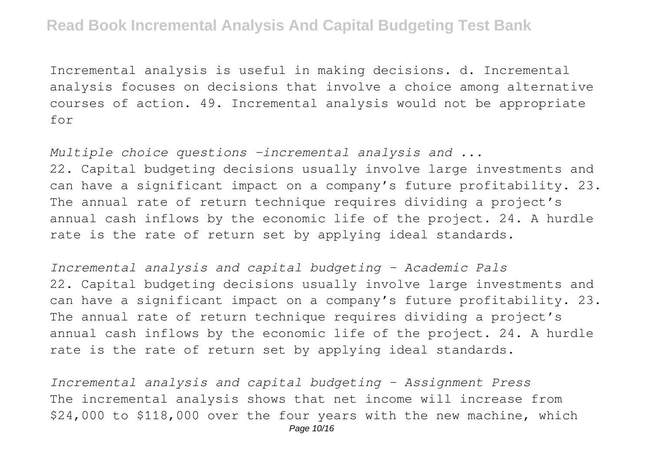Incremental analysis is useful in making decisions. d. Incremental analysis focuses on decisions that involve a choice among alternative courses of action. 49. Incremental analysis would not be appropriate for

*Multiple choice questions -incremental analysis and ...* 22. Capital budgeting decisions usually involve large investments and can have a significant impact on a company's future profitability. 23. The annual rate of return technique requires dividing a project's annual cash inflows by the economic life of the project. 24. A hurdle rate is the rate of return set by applying ideal standards.

*Incremental analysis and capital budgeting - Academic Pals* 22. Capital budgeting decisions usually involve large investments and can have a significant impact on a company's future profitability. 23. The annual rate of return technique requires dividing a project's annual cash inflows by the economic life of the project. 24. A hurdle rate is the rate of return set by applying ideal standards.

*Incremental analysis and capital budgeting - Assignment Press* The incremental analysis shows that net income will increase from \$24,000 to \$118,000 over the four years with the new machine, which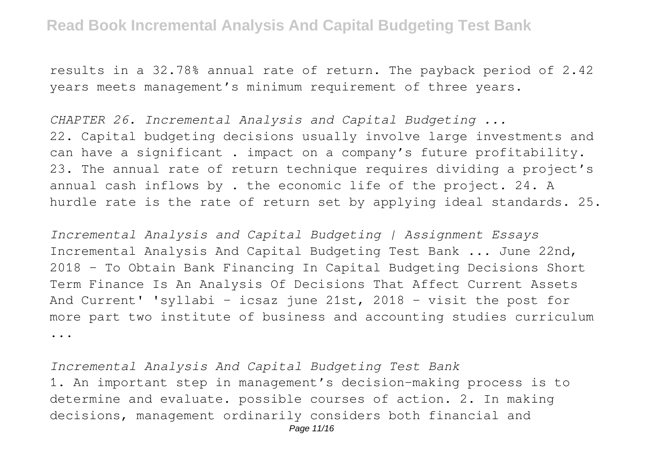results in a 32.78% annual rate of return. The payback period of 2.42 years meets management's minimum requirement of three years.

*CHAPTER 26. Incremental Analysis and Capital Budgeting ...* 22. Capital budgeting decisions usually involve large investments and can have a significant . impact on a company's future profitability. 23. The annual rate of return technique requires dividing a project's annual cash inflows by . the economic life of the project. 24. A hurdle rate is the rate of return set by applying ideal standards. 25.

*Incremental Analysis and Capital Budgeting | Assignment Essays* Incremental Analysis And Capital Budgeting Test Bank ... June 22nd, 2018 - To Obtain Bank Financing In Capital Budgeting Decisions Short Term Finance Is An Analysis Of Decisions That Affect Current Assets And Current' 'syllabi – icsaz june 21st, 2018 - visit the post for more part two institute of business and accounting studies curriculum ...

*Incremental Analysis And Capital Budgeting Test Bank* 1. An important step in management's decision-making process is to determine and evaluate. possible courses of action. 2. In making decisions, management ordinarily considers both financial and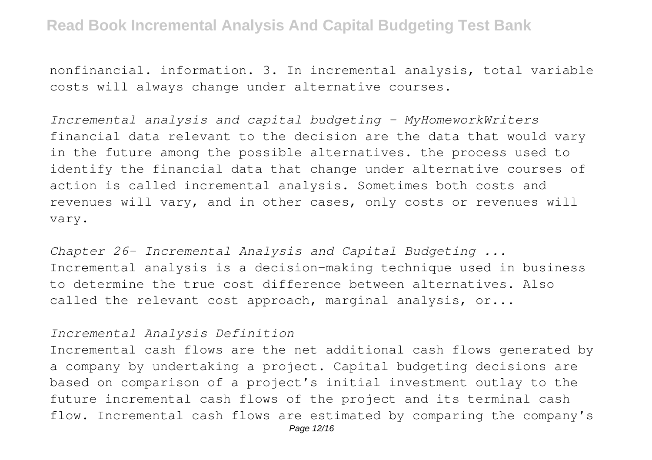nonfinancial. information. 3. In incremental analysis, total variable costs will always change under alternative courses.

*Incremental analysis and capital budgeting - MyHomeworkWriters* financial data relevant to the decision are the data that would vary in the future among the possible alternatives. the process used to identify the financial data that change under alternative courses of action is called incremental analysis. Sometimes both costs and revenues will vary, and in other cases, only costs or revenues will vary.

*Chapter 26- Incremental Analysis and Capital Budgeting ...* Incremental analysis is a decision-making technique used in business to determine the true cost difference between alternatives. Also called the relevant cost approach, marginal analysis, or...

## *Incremental Analysis Definition*

Incremental cash flows are the net additional cash flows generated by a company by undertaking a project. Capital budgeting decisions are based on comparison of a project's initial investment outlay to the future incremental cash flows of the project and its terminal cash flow. Incremental cash flows are estimated by comparing the company's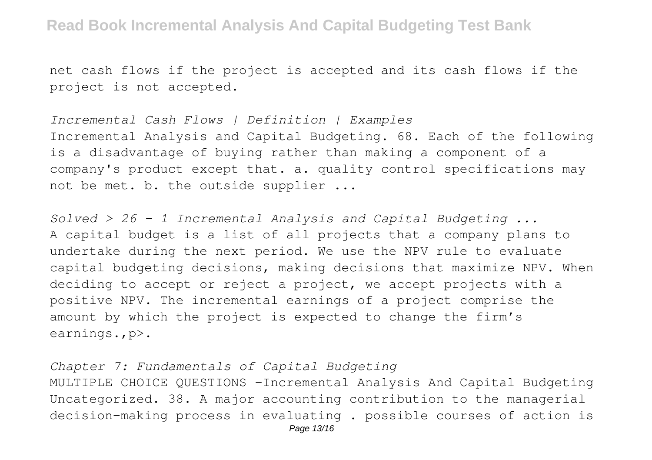net cash flows if the project is accepted and its cash flows if the project is not accepted.

*Incremental Cash Flows | Definition | Examples* Incremental Analysis and Capital Budgeting. 68. Each of the following is a disadvantage of buying rather than making a component of a company's product except that. a. quality control specifications may not be met. b. the outside supplier ...

*Solved > 26 - 1 Incremental Analysis and Capital Budgeting ...* A capital budget is a list of all projects that a company plans to undertake during the next period. We use the NPV rule to evaluate capital budgeting decisions, making decisions that maximize NPV. When deciding to accept or reject a project, we accept projects with a positive NPV. The incremental earnings of a project comprise the amount by which the project is expected to change the firm's earnings.,p>.

*Chapter 7: Fundamentals of Capital Budgeting* MULTIPLE CHOICE QUESTIONS -Incremental Analysis And Capital Budgeting Uncategorized. 38. A major accounting contribution to the managerial decision-making process in evaluating . possible courses of action is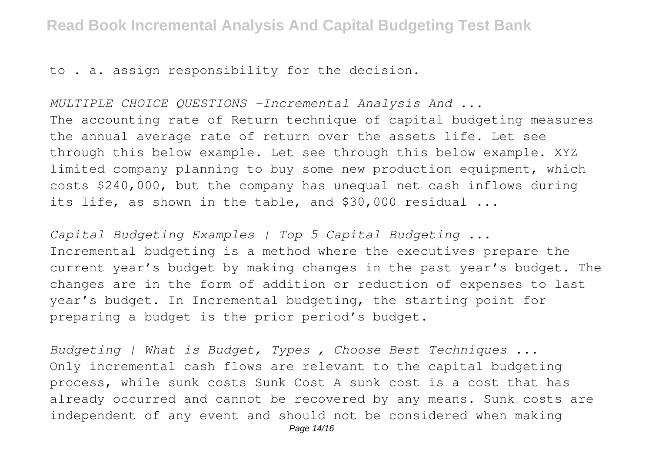to . a. assign responsibility for the decision.

*MULTIPLE CHOICE QUESTIONS -Incremental Analysis And ...* The accounting rate of Return technique of capital budgeting measures the annual average rate of return over the assets life. Let see through this below example. Let see through this below example. XYZ limited company planning to buy some new production equipment, which costs \$240,000, but the company has unequal net cash inflows during its life, as shown in the table, and \$30,000 residual ...

*Capital Budgeting Examples | Top 5 Capital Budgeting ...* Incremental budgeting is a method where the executives prepare the current year's budget by making changes in the past year's budget. The changes are in the form of addition or reduction of expenses to last year's budget. In Incremental budgeting, the starting point for preparing a budget is the prior period's budget.

*Budgeting | What is Budget, Types , Choose Best Techniques ...* Only incremental cash flows are relevant to the capital budgeting process, while sunk costs Sunk Cost A sunk cost is a cost that has already occurred and cannot be recovered by any means. Sunk costs are independent of any event and should not be considered when making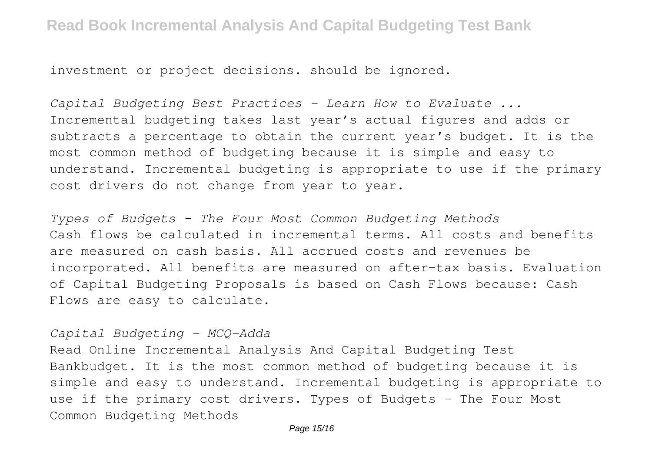investment or project decisions. should be ignored.

*Capital Budgeting Best Practices - Learn How to Evaluate ...* Incremental budgeting takes last year's actual figures and adds or subtracts a percentage to obtain the current year's budget. It is the most common method of budgeting because it is simple and easy to understand. Incremental budgeting is appropriate to use if the primary cost drivers do not change from year to year.

*Types of Budgets - The Four Most Common Budgeting Methods* Cash flows be calculated in incremental terms. All costs and benefits are measured on cash basis. All accrued costs and revenues be incorporated. All benefits are measured on after-tax basis. Evaluation of Capital Budgeting Proposals is based on Cash Flows because: Cash Flows are easy to calculate.

# *Capital Budgeting - MCQ-Adda*

Read Online Incremental Analysis And Capital Budgeting Test Bankbudget. It is the most common method of budgeting because it is simple and easy to understand. Incremental budgeting is appropriate to use if the primary cost drivers. Types of Budgets - The Four Most Common Budgeting Methods